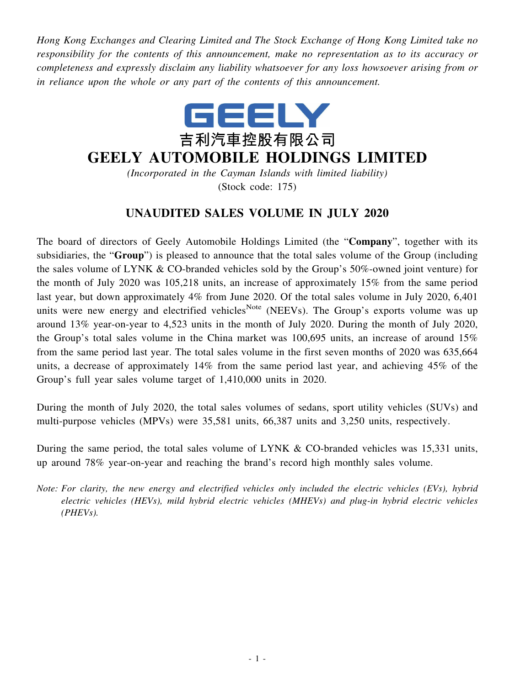*Hong Kong Exchanges and Clearing Limited and The Stock Exchange of Hong Kong Limited take no responsibility for the contents of this announcement, make no representation as to its accuracy or completeness and expressly disclaim any liability whatsoever for any loss howsoever arising from or in reliance upon the whole or any part of the contents of this announcement.*



## **GEELY AUTOMOBILE HOLDINGS LIMITED**

*(Incorporated in the Cayman Islands with limited liability)* (Stock code: 175)

## **UNAUDITED SALES VOLUME IN JULY 2020**

The board of directors of Geely Automobile Holdings Limited (the "**Company**", together with its subsidiaries, the "**Group**") is pleased to announce that the total sales volume of the Group (including the sales volume of LYNK & CO-branded vehicles sold by the Group's 50%-owned joint venture) for the month of July 2020 was 105,218 units, an increase of approximately 15% from the same period last year, but down approximately 4% from June 2020. Of the total sales volume in July 2020, 6,401 units were new energy and electrified vehicles<sup>Note</sup> (NEEVs). The Group's exports volume was up around 13% year-on-year to 4,523 units in the month of July 2020. During the month of July 2020, the Group's total sales volume in the China market was 100,695 units, an increase of around 15% from the same period last year. The total sales volume in the first seven months of 2020 was 635,664 units, a decrease of approximately 14% from the same period last year, and achieving 45% of the Group's full year sales volume target of 1,410,000 units in 2020.

During the month of July 2020, the total sales volumes of sedans, sport utility vehicles (SUVs) and multi-purpose vehicles (MPVs) were 35,581 units, 66,387 units and 3,250 units, respectively.

During the same period, the total sales volume of LYNK & CO-branded vehicles was 15,331 units, up around 78% year-on-year and reaching the brand's record high monthly sales volume.

*Note: For clarity, the new energy and electrified vehicles only included the electric vehicles (EVs), hybrid electric vehicles (HEVs), mild hybrid electric vehicles (MHEVs) and plug-in hybrid electric vehicles (PHEVs).*